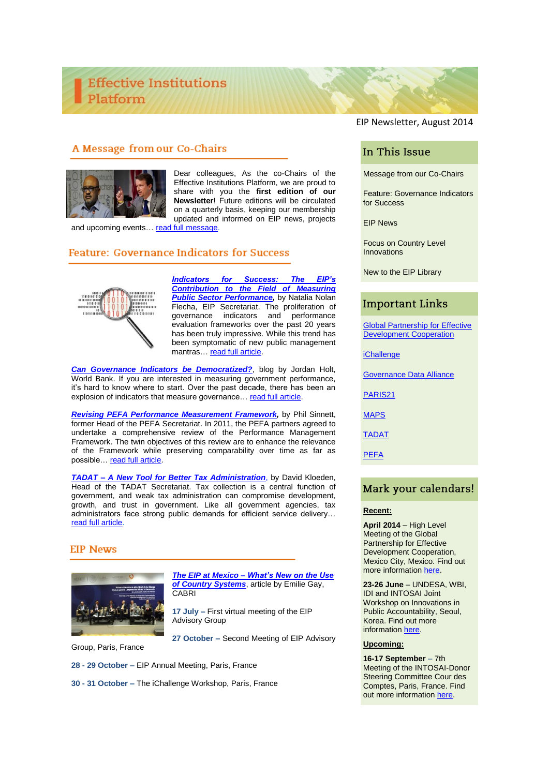# A Message from our Co-Chairs



Dear colleagues, As the co-Chairs of the Effective Institutions Platform, we are proud to share with you the **first edition of our Newsletter**! Future editions will be circulated on a quarterly basis, keeping our membership updated and informed on EIP news, projects

and upcoming events... [read full message.](http://www.effectiveinstitutions.org/newsevents/Message%20from%20co-chairs.pdf)

# **Feature: Governance Indicators for Success**



*[Indicators for Success: The EIP's](http://www.effectiveinstitutions.org/newsevents/Indicators%20for%20Success.pdf) [Contribution to the Field of Measuring](http://www.effectiveinstitutions.org/newsevents/Indicators%20for%20Success.pdf)  [Public Sector Performance,](http://www.effectiveinstitutions.org/newsevents/Indicators%20for%20Success.pdf)* by Natalia Nolan Flecha, EIP Secretariat. The proliferation of<br>governance indicators and performance governance indicators evaluation frameworks over the past 20 years has been truly impressive. While this trend has been symptomatic of new public management mantras… [read full article.](http://www.effectiveinstitutions.org/newsevents/Indicators%20for%20Success.pdf)

*[Can Governance Indicators be Democratized?](http://blogs.worldbank.org/governance/can-governance-indicators-be-democratized)*, blog by Jordan Holt, World Bank. If you are interested in measuring government performance, it's hard to know where to start. Over the past decade, there has been an explosion of indicators that measure governance... [read full article.](http://blogs.worldbank.org/governance/can-governance-indicators-be-democratized)

*[Revising PEFA Performance](http://www.effectiveinstitutions.org/newsevents/PEFA%20Performance%20Measurement.pdf) Measurement Framework,* by Phil Sinnett, former Head of the PEFA Secretariat. In 2011, the PEFA partners agreed to undertake a comprehensive review of the Performance Management Framework. The twin objectives of this review are to enhance the relevance of the Framework while preserving comparability over time as far as possible[… read full article.](http://www.effectiveinstitutions.org/newsevents/PEFA%20Performance%20Measurement.pdf)

*TADAT – [A New Tool for Better Tax Administration](http://www.effectiveinstitutions.org/newsevents/TADAT%20New%20Tool.pdf)*, by David Kloeden, Head of the TADAT Secretariat. Tax collection is a central function of government, and weak tax administration can compromise development, growth, and trust in government. Like all government agencies, tax administrators face strong public demands for efficient service delivery… [read full article.](http://www.effectiveinstitutions.org/newsevents/TADAT%20New%20Tool.pdf)

### **EIP News**



*The EIP at Mexico – [What's New on the Use](http://www.effectiveinstitutions.org/newsevents/EIP%20Mexico%20Country%20Systems.pdf)  [of Country Systems](http://www.effectiveinstitutions.org/newsevents/EIP%20Mexico%20Country%20Systems.pdf)*, article by Emilie Gay, **CABRI** 

**17 July –** First virtual meeting of the EIP Advisory Group

**27 October –** Second Meeting of EIP Advisory

Group, Paris, France

**28 - 29 October –** EIP Annual Meeting, Paris, France

**30 - 31 October –** The iChallenge Workshop, Paris, France

EIP Newsletter, August 2014

# In This Issue

Message from our Co-Chairs

Feature: Governance Indicators for Success

EIP News

Focus on Country Level Innovations

New to the EIP Library

# **Important Links**

**Global Partnership for Effective** [Development Cooperation](http://effectivecooperation.org/)

[iChallenge](http://consultations.worldbank.org/consultation/indicators-challenge-ichallenge)

[Governance Data](https://www.globalintegrity.org/posts/what-we-learned-at-the-governance-data-alliance-design-meeting/) Alliance

[PARIS21](http://www.paris21.org/)

[MAPS](http://www.oecd.org/development/effectiveness/commonbenchmarkingandassessmentmethodologyforpublicprocurementsystemsversion4.htm)

[TADAT](http://www.tadat.org/)

[PEFA](https://www.pefa.org/)

### Mark your calendars!

#### **Recent:**

**April 2014** – High Level Meeting of the Global Partnership for Effective Development Cooperation, Mexico City, Mexico. Find out more information [here.](http://effectivecooperation.org/hlm2014/)

**23-26 June** – UNDESA, WBI, IDI and INTOSAI Joint Workshop on Innovations in Public Accountability, Seoul, Korea. Find out more information [here.](http://www.idi.no/Artikkel.aspx?AId=1010&back=1&MId1=44)

#### **Upcoming:**

**16-17 September** – 7th Meeting of the INTOSAI-Donor Steering Committee Cour des Comptes, Paris, France. Find out more information [here.](http://www.intosai.org/events/calendar/2014.html)